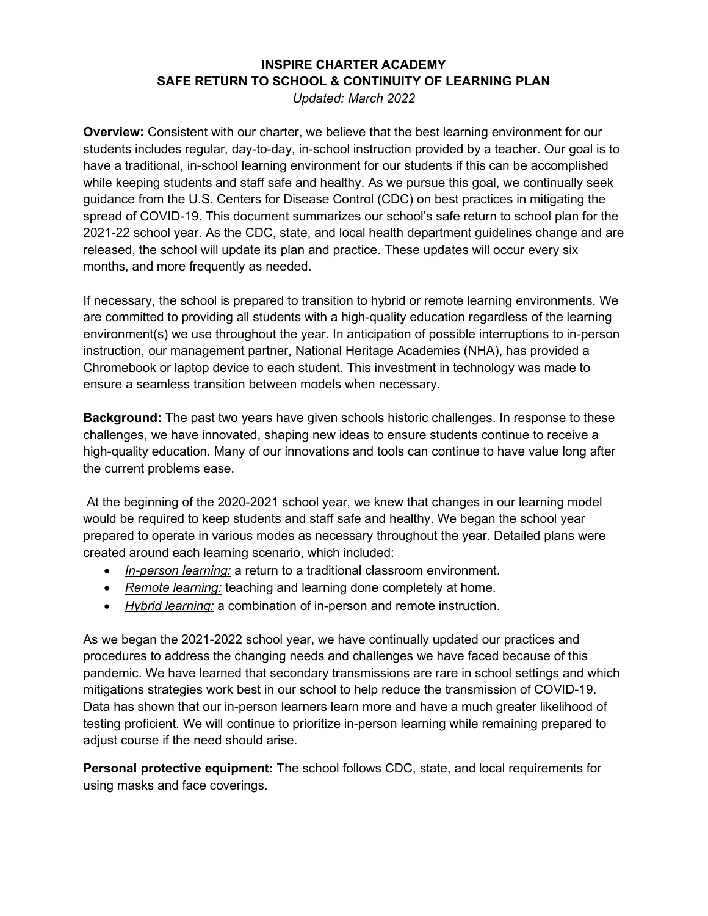## **INSPIRE CHARTER ACADEMY SAFE RETURN TO SCHOOL & CONTINUITY OF LEARNING PLAN**

*Updated: March 2022* 

**Overview:** Consistent with our charter, we believe that the best learning environment for our students includes regular, day-to-day, in-school instruction provided by a teacher. Our goal is to have a traditional, in-school learning environment for our students if this can be accomplished while keeping students and staff safe and healthy. As we pursue this goal, we continually seek guidance from the U.S. Centers for Disease Control (CDC) on best practices in mitigating the spread of COVID-19. This document summarizes our school's safe return to school plan for the 2021-22 school year. As the CDC, state, and local health department guidelines change and are released, the school will update its plan and practice. These updates will occur every six months, and more frequently as needed.

If necessary, the school is prepared to transition to hybrid or remote learning environments. We are committed to providing all students with a high-quality education regardless of the learning environment(s) we use throughout the year. In anticipation of possible interruptions to in-person instruction, our management partner, National Heritage Academies (NHA), has provided a Chromebook or laptop device to each student. This investment in technology was made to ensure a seamless transition between models when necessary.

**Background:** The past two years have given schools historic challenges. In response to these challenges, we have innovated, shaping new ideas to ensure students continue to receive a high-quality education. Many of our innovations and tools can continue to have value long after the current problems ease.

At the beginning of the 2020-2021 school year, we knew that changes in our learning model would be required to keep students and staff safe and healthy. We began the school year prepared to operate in various modes as necessary throughout the year. Detailed plans were created around each learning scenario, which included:

- *In-person learning:* a return to a traditional classroom environment.
- *Remote learning:* teaching and learning done completely at home.
- *Hybrid learning:* a combination of in-person and remote instruction.

As we began the 2021-2022 school year, we have continually updated our practices and procedures to address the changing needs and challenges we have faced because of this pandemic. We have learned that secondary transmissions are rare in school settings and which mitigations strategies work best in our school to help reduce the transmission of COVID-19. Data has shown that our in-person learners learn more and have a much greater likelihood of testing proficient. We will continue to prioritize in-person learning while remaining prepared to adjust course if the need should arise.

**Personal protective equipment:** The school follows CDC, state, and local requirements for using masks and face coverings.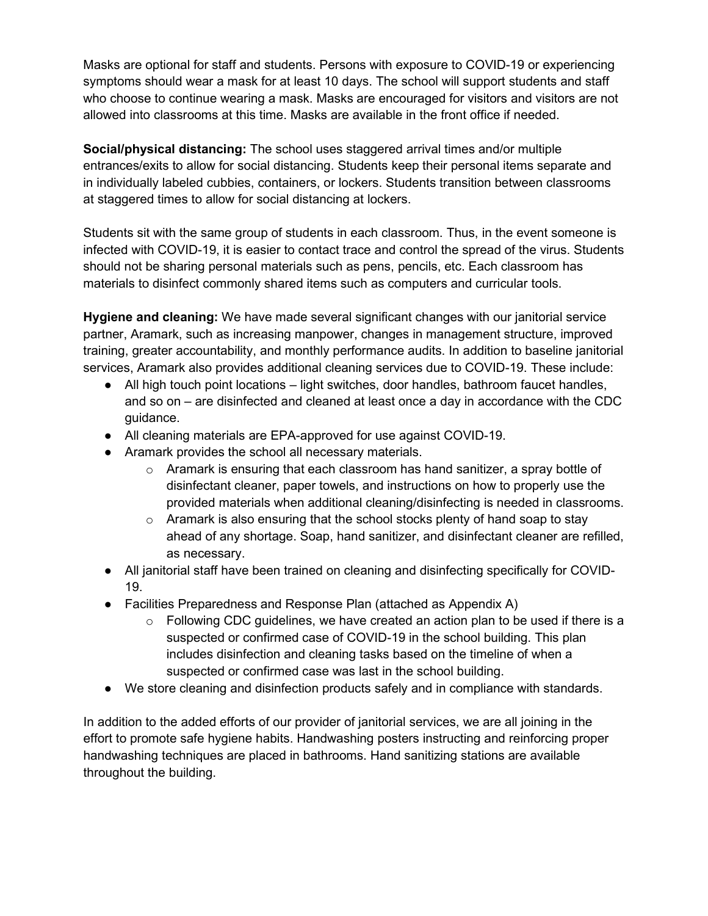Masks are optional for staff and students. Persons with exposure to COVID-19 or experiencing symptoms should wear a mask for at least 10 days. The school will support students and staff who choose to continue wearing a mask. Masks are encouraged for visitors and visitors are not allowed into classrooms at this time. Masks are available in the front office if needed.

**Social/physical distancing:** The school uses staggered arrival times and/or multiple entrances/exits to allow for social distancing. Students keep their personal items separate and in individually labeled cubbies, containers, or lockers. Students transition between classrooms at staggered times to allow for social distancing at lockers.

Students sit with the same group of students in each classroom. Thus, in the event someone is infected with COVID-19, it is easier to contact trace and control the spread of the virus. Students should not be sharing personal materials such as pens, pencils, etc. Each classroom has materials to disinfect commonly shared items such as computers and curricular tools.

**Hygiene and cleaning:** We have made several significant changes with our janitorial service partner, Aramark, such as increasing manpower, changes in management structure, improved training, greater accountability, and monthly performance audits. In addition to baseline janitorial services, Aramark also provides additional cleaning services due to COVID-19. These include:

- All high touch point locations light switches, door handles, bathroom faucet handles, and so on – are disinfected and cleaned at least once a day in accordance with the CDC guidance.
- All cleaning materials are EPA-approved for use against COVID-19.
- Aramark provides the school all necessary materials.
	- $\circ$  Aramark is ensuring that each classroom has hand sanitizer, a spray bottle of disinfectant cleaner, paper towels, and instructions on how to properly use the provided materials when additional cleaning/disinfecting is needed in classrooms.
	- $\circ$  Aramark is also ensuring that the school stocks plenty of hand soap to stay ahead of any shortage. Soap, hand sanitizer, and disinfectant cleaner are refilled, as necessary.
- All janitorial staff have been trained on cleaning and disinfecting specifically for COVID-19.
- Facilities Preparedness and Response Plan (attached as Appendix A)
	- $\circ$  Following CDC guidelines, we have created an action plan to be used if there is a suspected or confirmed case of COVID-19 in the school building. This plan includes disinfection and cleaning tasks based on the timeline of when a suspected or confirmed case was last in the school building.
- We store cleaning and disinfection products safely and in compliance with standards.

In addition to the added efforts of our provider of janitorial services, we are all joining in the effort to promote safe hygiene habits. Handwashing posters instructing and reinforcing proper handwashing techniques are placed in bathrooms. Hand sanitizing stations are available throughout the building.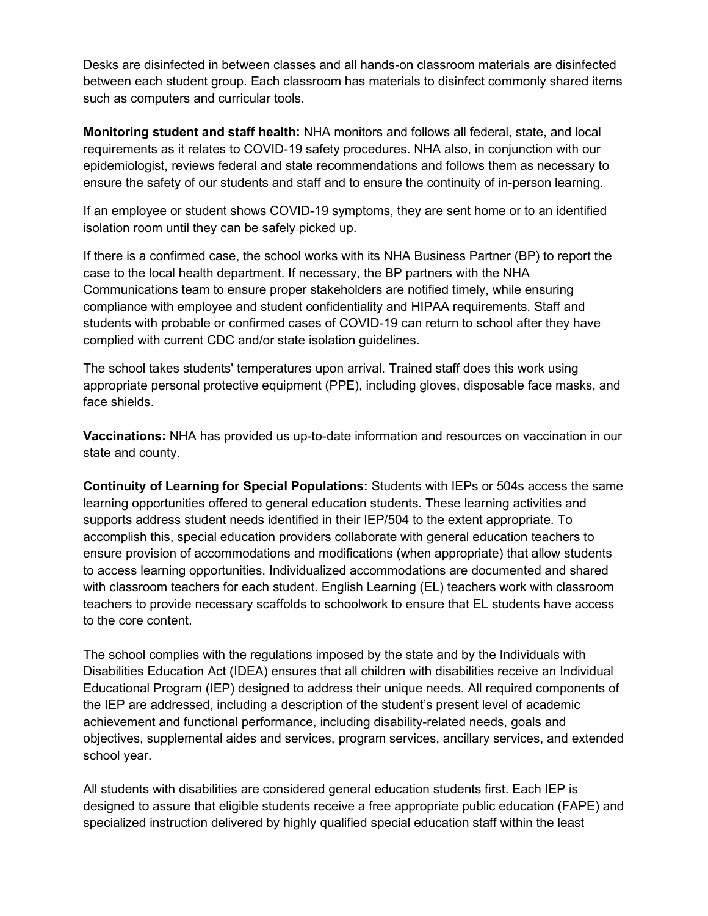Desks are disinfected in between classes and all hands-on classroom materials are disinfected between each student group. Each classroom has materials to disinfect commonly shared items such as computers and curricular tools.

**Monitoring student and staff health:** NHA monitors and follows all federal, state, and local requirements as it relates to COVID-19 safety procedures. NHA also, in conjunction with our epidemiologist, reviews federal and state recommendations and follows them as necessary to ensure the safety of our students and staff and to ensure the continuity of in-person learning.

If an employee or student shows COVID-19 symptoms, they are sent home or to an identified isolation room until they can be safely picked up.

If there is a confirmed case, the school works with its NHA Business Partner (BP) to report the case to the local health department. If necessary, the BP partners with the NHA Communications team to ensure proper stakeholders are notified timely, while ensuring compliance with employee and student confidentiality and HIPAA requirements. Staff and students with probable or confirmed cases of COVID-19 can return to school after they have complied with current CDC and/or state isolation guidelines.

The school takes students' temperatures upon arrival. Trained staff does this work using appropriate personal protective equipment (PPE), including gloves, disposable face masks, and face shields.

**Vaccinations:** NHA has provided us up-to-date information and resources on vaccination in our state and county.

**Continuity of Learning for Special Populations:** Students with IEPs or 504s access the same learning opportunities offered to general education students. These learning activities and supports address student needs identified in their IEP/504 to the extent appropriate. To accomplish this, special education providers collaborate with general education teachers to ensure provision of accommodations and modifications (when appropriate) that allow students to access learning opportunities. Individualized accommodations are documented and shared with classroom teachers for each student. English Learning (EL) teachers work with classroom teachers to provide necessary scaffolds to schoolwork to ensure that EL students have access to the core content.

The school complies with the regulations imposed by the state and by the Individuals with Disabilities Education Act (IDEA) ensures that all children with disabilities receive an Individual Educational Program (IEP) designed to address their unique needs. All required components of the IEP are addressed, including a description of the student's present level of academic achievement and functional performance, including disability-related needs, goals and objectives, supplemental aides and services, program services, ancillary services, and extended school year.

All students with disabilities are considered general education students first. Each IEP is designed to assure that eligible students receive a free appropriate public education (FAPE) and specialized instruction delivered by highly qualified special education staff within the least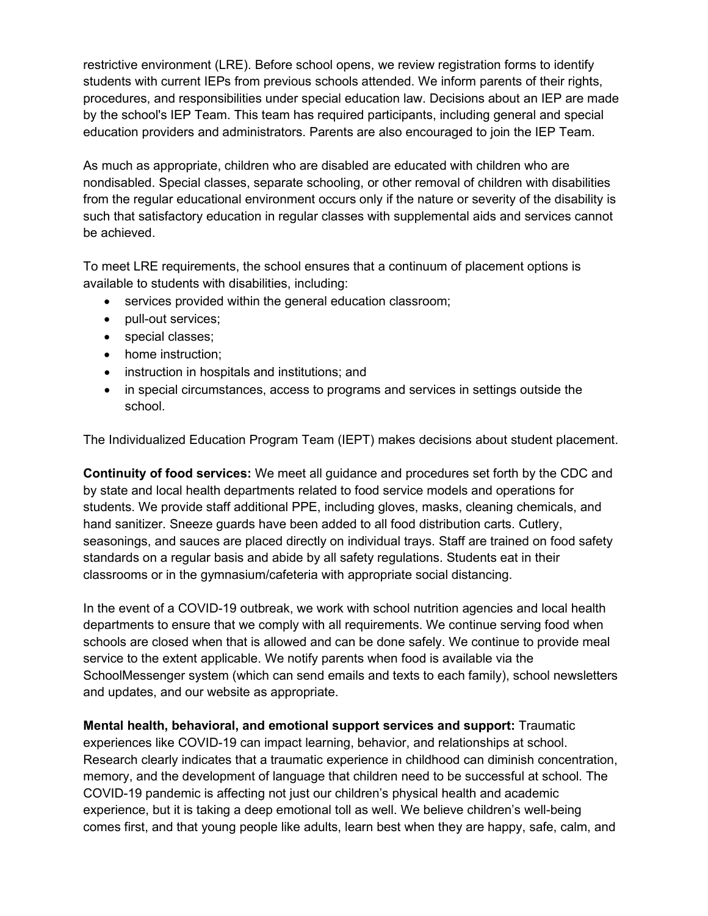restrictive environment (LRE). Before school opens, we review registration forms to identify students with current IEPs from previous schools attended. We inform parents of their rights, procedures, and responsibilities under special education law. Decisions about an IEP are made by the school's IEP Team. This team has required participants, including general and special education providers and administrators. Parents are also encouraged to join the IEP Team.

As much as appropriate, children who are disabled are educated with children who are nondisabled. Special classes, separate schooling, or other removal of children with disabilities from the regular educational environment occurs only if the nature or severity of the disability is such that satisfactory education in regular classes with supplemental aids and services cannot be achieved.

To meet LRE requirements, the school ensures that a continuum of placement options is available to students with disabilities, including:

- services provided within the general education classroom;
- pull-out services;
- special classes;
- home instruction;
- instruction in hospitals and institutions; and
- in special circumstances, access to programs and services in settings outside the school.

The Individualized Education Program Team (IEPT) makes decisions about student placement.

**Continuity of food services:** We meet all guidance and procedures set forth by the CDC and by state and local health departments related to food service models and operations for students. We provide staff additional PPE, including gloves, masks, cleaning chemicals, and hand sanitizer. Sneeze guards have been added to all food distribution carts. Cutlery, seasonings, and sauces are placed directly on individual trays. Staff are trained on food safety standards on a regular basis and abide by all safety regulations. Students eat in their classrooms or in the gymnasium/cafeteria with appropriate social distancing.

In the event of a COVID-19 outbreak, we work with school nutrition agencies and local health departments to ensure that we comply with all requirements. We continue serving food when schools are closed when that is allowed and can be done safely. We continue to provide meal service to the extent applicable. We notify parents when food is available via the SchoolMessenger system (which can send emails and texts to each family), school newsletters and updates, and our website as appropriate.

**Mental health, behavioral, and emotional support services and support:** Traumatic experiences like COVID-19 can impact learning, behavior, and relationships at school. Research clearly indicates that a traumatic experience in childhood can diminish concentration, memory, and the development of language that children need to be successful at school. The COVID-19 pandemic is affecting not just our children's physical health and academic experience, but it is taking a deep emotional toll as well. We believe children's well-being comes first, and that young people like adults, learn best when they are happy, safe, calm, and